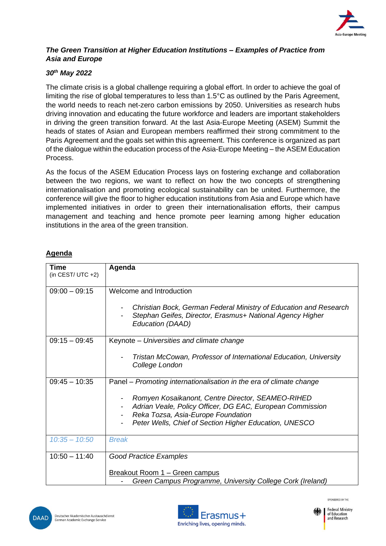

## *The Green Transition at Higher Education Institutions – Examples of Practice from Asia and Europe*

## *30th May 2022*

The climate crisis is a global challenge requiring a global effort. In order to achieve the goal of limiting the rise of global temperatures to less than 1.5°C as outlined by the Paris Agreement, the world needs to reach net-zero carbon emissions by 2050. Universities as research hubs driving innovation and educating the future workforce and leaders are important stakeholders in driving the green transition forward. At the last Asia-Europe Meeting (ASEM) Summit the heads of states of Asian and European members reaffirmed their strong commitment to the Paris Agreement and the goals set within this agreement. This conference is organized as part of the dialogue within the education process of the Asia-Europe Meeting – the ASEM Education Process.

As the focus of the ASEM Education Process lays on fostering exchange and collaboration between the two regions, we want to reflect on how the two concepts of strengthening internationalisation and promoting ecological sustainability can be united. Furthermore, the conference will give the floor to higher education institutions from Asia and Europe which have implemented initiatives in order to green their internationalisation efforts, their campus management and teaching and hence promote peer learning among higher education institutions in the area of the green transition.

## **Agenda**

| <b>Time</b><br>(in CEST/UTC $+2$ ) | Agenda                                                                                                                                                                                                         |
|------------------------------------|----------------------------------------------------------------------------------------------------------------------------------------------------------------------------------------------------------------|
|                                    |                                                                                                                                                                                                                |
| $09:00 - 09:15$                    | Welcome and Introduction                                                                                                                                                                                       |
|                                    | Christian Bock, German Federal Ministry of Education and Research<br>Stephan Geifes, Director, Erasmus+ National Agency Higher<br>Education (DAAD)                                                             |
| $09:15 - 09:45$                    | Keynote – Universities and climate change                                                                                                                                                                      |
|                                    | Tristan McCowan, Professor of International Education, University<br>College London                                                                                                                            |
| $09:45 - 10:35$                    | Panel – Promoting internationalisation in the era of climate change                                                                                                                                            |
|                                    | Romyen Kosaikanont, Centre Director, SEAMEO-RIHED<br>Adrian Veale, Policy Officer, DG EAC, European Commission<br>Reka Tozsa, Asia-Europe Foundation<br>Peter Wells, Chief of Section Higher Education, UNESCO |
| $10:35 - 10:50$                    | <b>Break</b>                                                                                                                                                                                                   |
| $10:50 - 11:40$                    | <b>Good Practice Examples</b>                                                                                                                                                                                  |
|                                    | Breakout Room 1 – Green campus<br>Green Campus Programme, University College Cork (Ireland)                                                                                                                    |







of Education and Research